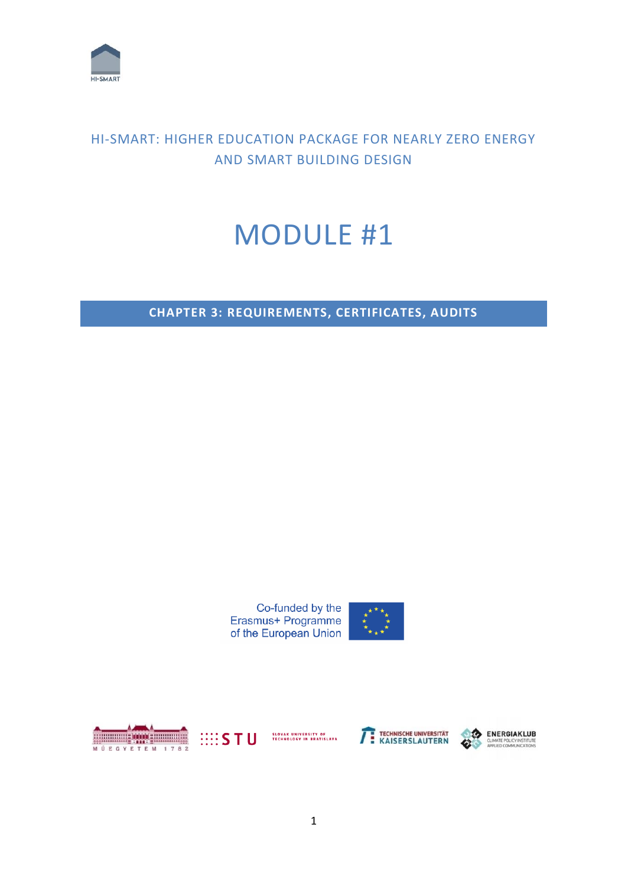

## HI-SMART: HIGHER EDUCATION PACKAGE FOR NEARLY ZERO ENERGY AND SMART BUILDING DESIGN

# MODULE #1

**CHAPTER 3: REQUIREMENTS, CERTIFICATES, AUDITS**

Co-funded by the Erasmus+ Programme of the European Union





**HISTU** 

SLOVAK UNIVERSITY OF<br>TECHNOLOGY IN BRATISLAVA

TECHNISCHE UNIVERSITÄT

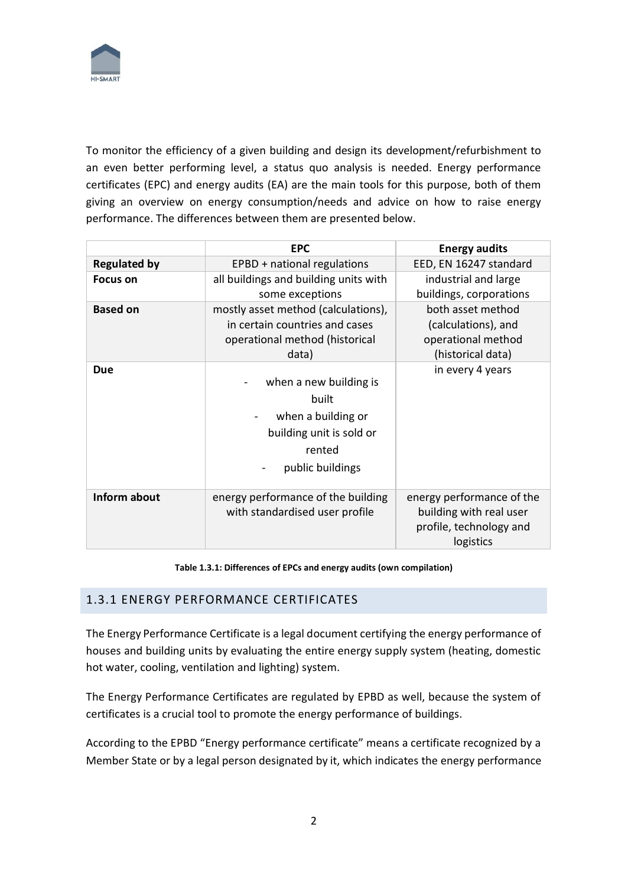

To monitor the efficiency of a given building and design its development/refurbishment to an even better performing level, a status quo analysis is needed. Energy performance certificates (EPC) and energy audits (EA) are the main tools for this purpose, both of them giving an overview on energy consumption/needs and advice on how to raise energy performance. The differences between them are presented below.

|                     | <b>EPC</b>                                                                                                      | <b>Energy audits</b>                                                                         |
|---------------------|-----------------------------------------------------------------------------------------------------------------|----------------------------------------------------------------------------------------------|
| <b>Regulated by</b> | EPBD + national regulations                                                                                     | EED, EN 16247 standard                                                                       |
| <b>Focus on</b>     | all buildings and building units with                                                                           | industrial and large                                                                         |
|                     | some exceptions                                                                                                 | buildings, corporations                                                                      |
| <b>Based on</b>     | mostly asset method (calculations),                                                                             | both asset method                                                                            |
|                     | in certain countries and cases                                                                                  | (calculations), and                                                                          |
|                     | operational method (historical                                                                                  | operational method                                                                           |
|                     | data)                                                                                                           | (historical data)                                                                            |
| <b>Due</b>          | when a new building is<br>built<br>when a building or<br>building unit is sold or<br>rented<br>public buildings | in every 4 years                                                                             |
| Inform about        | energy performance of the building<br>with standardised user profile                                            | energy performance of the<br>building with real user<br>profile, technology and<br>logistics |

**Table 1.3.1: Differences of EPCs and energy audits (own compilation)**

#### 1.3.1 ENERGY PERFORMANCE CERTIFICATES

The Energy Performance Certificate is a legal document certifying the energy performance of houses and building units by evaluating the entire energy supply system (heating, domestic hot water, cooling, ventilation and lighting) system.

The Energy Performance Certificates are regulated by EPBD as well, because the system of certificates is a crucial tool to promote the energy performance of buildings.

According to the EPBD "Energy performance certificate" means a certificate recognized by a Member State or by a legal person designated by it, which indicates the energy performance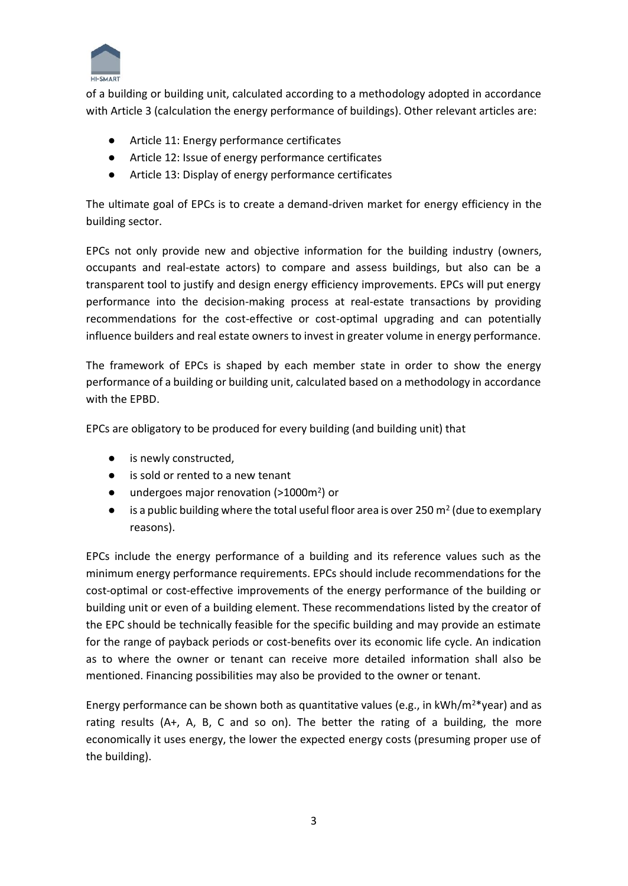

of a building or building unit, calculated according to a methodology adopted in accordance with Article 3 (calculation the energy performance of buildings). Other relevant articles are:

- Article 11: Energy performance certificates
- Article 12: Issue of energy performance certificates
- Article 13: Display of energy performance certificates

The ultimate goal of EPCs is to create a demand-driven market for energy efficiency in the building sector.

EPCs not only provide new and objective information for the building industry (owners, occupants and real-estate actors) to compare and assess buildings, but also can be a transparent tool to justify and design energy efficiency improvements. EPCs will put energy performance into the decision-making process at real-estate transactions by providing recommendations for the cost-effective or cost-optimal upgrading and can potentially influence builders and real estate owners to invest in greater volume in energy performance.

The framework of EPCs is shaped by each member state in order to show the energy performance of a building or building unit, calculated based on a methodology in accordance with the EPBD.

EPCs are obligatory to be produced for every building (and building unit) that

- is newly constructed,
- is sold or rented to a new tenant
- undergoes major renovation (>1000m<sup>2</sup>) or
- $\bullet$  is a public building where the total useful floor area is over 250 m<sup>2</sup> (due to exemplary reasons).

EPCs include the energy performance of a building and its reference values such as the minimum energy performance requirements. EPCs should include recommendations for the cost-optimal or cost-effective improvements of the energy performance of the building or building unit or even of a building element. These recommendations listed by the creator of the EPC should be technically feasible for the specific building and may provide an estimate for the range of payback periods or cost-benefits over its economic life cycle. An indication as to where the owner or tenant can receive more detailed information shall also be mentioned. Financing possibilities may also be provided to the owner or tenant.

Energy performance can be shown both as quantitative values (e.g., in  $kWh/m^2*year$ ) and as rating results (A+, A, B, C and so on). The better the rating of a building, the more economically it uses energy, the lower the expected energy costs (presuming proper use of the building).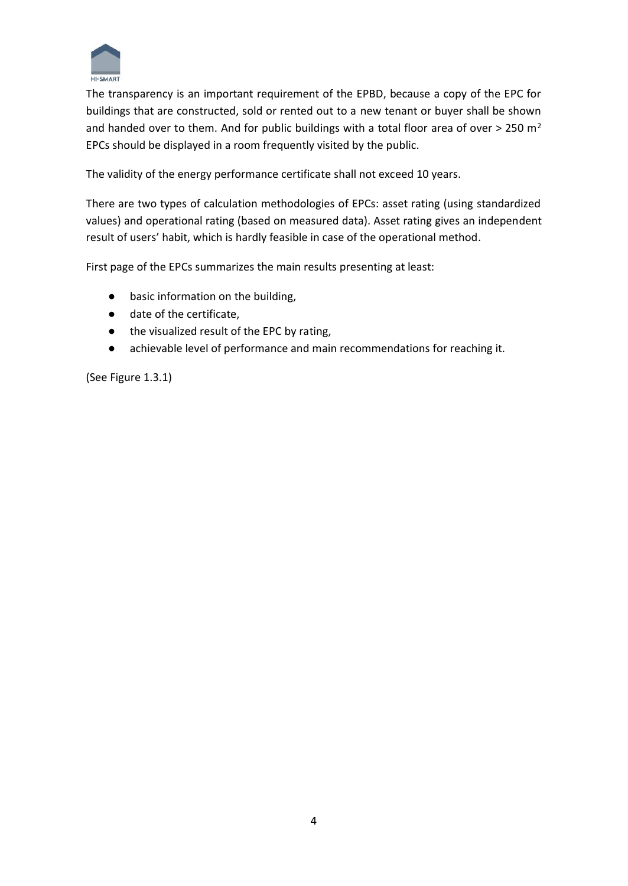

The transparency is an important requirement of the EPBD, because a copy of the EPC for buildings that are constructed, sold or rented out to a new tenant or buyer shall be shown and handed over to them. And for public buildings with a total floor area of over  $>$  250 m<sup>2</sup> EPCs should be displayed in a room frequently visited by the public.

The validity of the energy performance certificate shall not exceed 10 years.

There are two types of calculation methodologies of EPCs: asset rating (using standardized values) and operational rating (based on measured data). Asset rating gives an independent result of users' habit, which is hardly feasible in case of the operational method.

First page of the EPCs summarizes the main results presenting at least:

- basic information on the building,
- date of the certificate,
- the visualized result of the EPC by rating,
- achievable level of performance and main recommendations for reaching it.

(See Figure 1.3.1)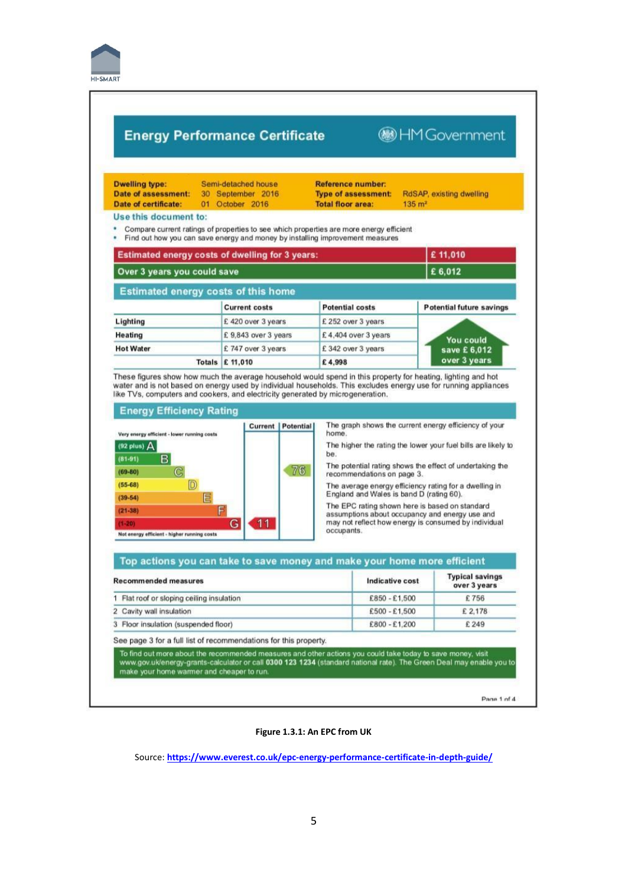

## **Energy Performance Certificate**

## **BHMGovernment**

| <b>Dwelling type:</b><br>Date of assessment:<br>Date of certificate: | Semi-detached house<br>30 September 2016<br>01 October 2016                                                                                                              | <b>Reference number:</b><br><b>Type of assessment:</b><br><b>Total floor area:</b> | RdSAP, existing dwelling<br>$135 \text{ m}^2$ |
|----------------------------------------------------------------------|--------------------------------------------------------------------------------------------------------------------------------------------------------------------------|------------------------------------------------------------------------------------|-----------------------------------------------|
| Use this document to:                                                |                                                                                                                                                                          |                                                                                    |                                               |
| ٠                                                                    | Compare current ratings of properties to see which properties are more energy efficient<br>Find out how you can save energy and money by installing improvement measures |                                                                                    |                                               |
|                                                                      | <b>Estimated energy costs of dwelling for 3 years:</b>                                                                                                                   |                                                                                    | £11,010                                       |

| maturiated analysis and an attenuing for a last at |                      |                        |                                 |  |  |
|----------------------------------------------------|----------------------|------------------------|---------------------------------|--|--|
| Over 3 years you could save                        | E 6.012              |                        |                                 |  |  |
| <b>Estimated energy costs of this home</b>         |                      |                        |                                 |  |  |
|                                                    | <b>Current costs</b> | <b>Potential costs</b> | <b>Potential future savings</b> |  |  |
| Lighting                                           | £420 over 3 years    | £252 over 3 years      |                                 |  |  |
| Heating                                            | £9,843 over 3 years  | £4,404 over 3 years    | You could                       |  |  |
| <b>Hot Water</b>                                   | £747 over 3 years    | £342 over 3 years      | save £6,012                     |  |  |
| Totals £ 11,010                                    | over 3 years         |                        |                                 |  |  |

These figures show how much the average household would spend in this property for heating, lighting and hot water and is not based on energy used by individual households. This excludes energy use for running appliances<br>like TVs, computers and cookers, and electricity generated by microgeneration.

#### **Energy Efficiency Rating**



The graph shows the current energy efficiency of your home

The higher the rating the lower your fuel bills are likely to be.

The potential rating shows the effect of undertaking the recommendations on page 3.

The average energy efficiency rating for a dwelling in<br>England and Wales is band D (rating 60).

The EPC rating shown here is based on standard<br>assumptions about occupancy and energy use and<br>may not reflect how energy is consumed by individual occupants.

| <b>Recommended measures</b>               | Indicative cost | <b>Typical savings</b><br>over 3 years |
|-------------------------------------------|-----------------|----------------------------------------|
| 1 Flat roof or sloping ceiling insulation | £850 - £1,500   | £756                                   |
| 2 Cavity wall insulation                  | $£500 - £1,500$ | £ 2,178                                |
| 3 Floor insulation (suspended floor)      | £800 - £1,200   | £ 249                                  |

make your home warmer and cheaper to run

Page 1 of 4

**Figure 1.3.1: An EPC from UK**

Source: **<https://www.everest.co.uk/epc-energy-performance-certificate-in-depth-guide/>**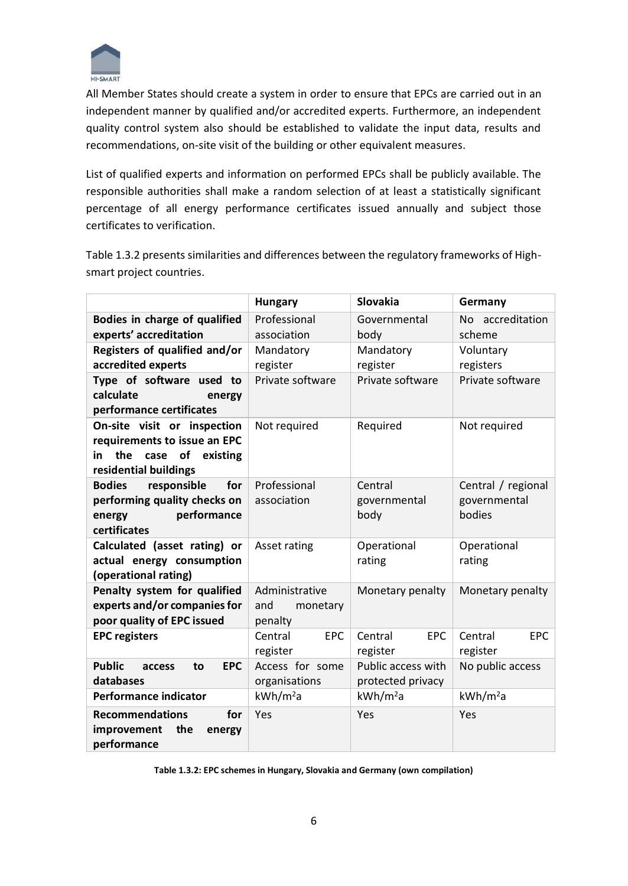

All Member States should create a system in order to ensure that EPCs are carried out in an independent manner by qualified and/or accredited experts. Furthermore, an independent quality control system also should be established to validate the input data, results and recommendations, on-site visit of the building or other equivalent measures.

List of qualified experts and information on performed EPCs shall be publicly available. The responsible authorities shall make a random selection of at least a statistically significant percentage of all energy performance certificates issued annually and subject those certificates to verification.

Table 1.3.2 presents similarities and differences between the regulatory frameworks of Highsmart project countries.

|                                                                                                                             | <b>Hungary</b>                                                   | Slovakia                                | Germany                           |
|-----------------------------------------------------------------------------------------------------------------------------|------------------------------------------------------------------|-----------------------------------------|-----------------------------------|
| Bodies in charge of qualified<br>experts' accreditation                                                                     | Professional<br>association                                      | Governmental<br>body                    | No accreditation<br>scheme        |
| Registers of qualified and/or<br>accredited experts                                                                         | Mandatory<br>register                                            | Mandatory<br>register                   | Voluntary<br>registers            |
| Type of software used to<br>calculate<br>energy<br>performance certificates                                                 | Private software                                                 | Private software                        | Private software                  |
| On-site visit or inspection<br>requirements to issue an EPC<br>the<br>case<br>of<br>existing<br>in<br>residential buildings | Not required                                                     | Required                                | Not required                      |
| responsible<br>for<br><b>Bodies</b><br>performing quality checks on<br>performance<br>energy<br>certificates                | Professional<br>association                                      | Central<br>governmental<br>body         |                                   |
| Calculated (asset rating) or<br>actual energy consumption<br>(operational rating)                                           | Asset rating                                                     | Operational<br>rating                   |                                   |
| Penalty system for qualified<br>experts and/or companies for<br>poor quality of EPC issued                                  | Administrative<br>Monetary penalty<br>and<br>monetary<br>penalty |                                         | Monetary penalty                  |
| <b>EPC registers</b>                                                                                                        | EPC<br>Central<br>register                                       | Central<br><b>EPC</b><br>register       | <b>EPC</b><br>Central<br>register |
| <b>Public</b><br><b>EPC</b><br>to<br>access<br>databases                                                                    | Access for some<br>organisations                                 | Public access with<br>protected privacy | No public access                  |
| <b>Performance indicator</b>                                                                                                | kWh/m <sup>2</sup> a                                             | kWh/m <sup>2</sup> a                    | kWh/m <sup>2</sup> a              |
| <b>Recommendations</b><br>for<br>improvement<br>the<br>energy<br>performance                                                | Yes                                                              | Yes                                     | Yes                               |

**Table 1.3.2: EPC schemes in Hungary, Slovakia and Germany (own compilation)**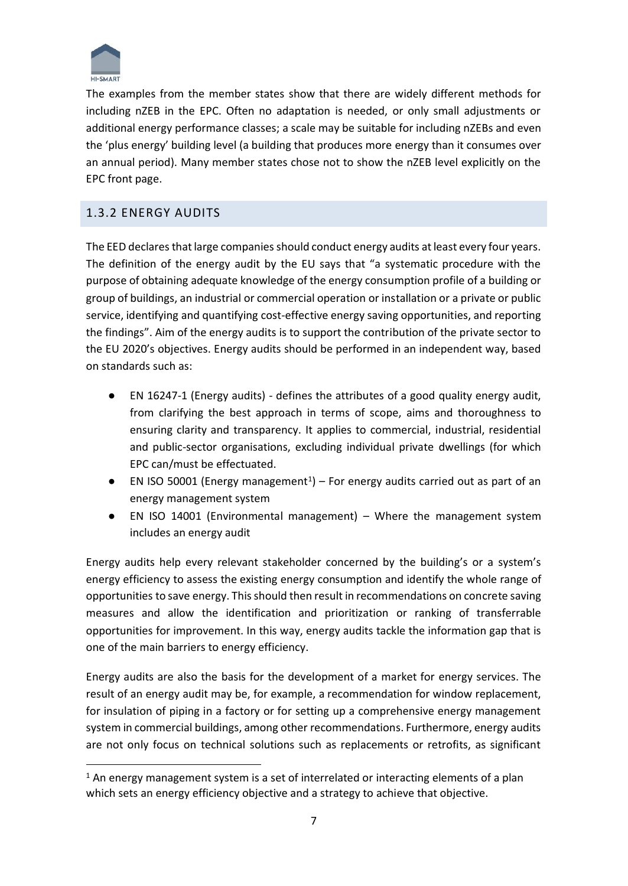

The examples from the member states show that there are widely different methods for including nZEB in the EPC. Often no adaptation is needed, or only small adjustments or additional energy performance classes; a scale may be suitable for including nZEBs and even the 'plus energy' building level (a building that produces more energy than it consumes over an annual period). Many member states chose not to show the nZEB level explicitly on the EPC front page.

## 1.3.2 ENERGY AUDITS

The EED declares that large companies should conduct energy audits at least every four years. The definition of the energy audit by the EU says that "a systematic procedure with the purpose of obtaining adequate knowledge of the energy consumption profile of a building or group of buildings, an industrial or commercial operation or installation or a private or public service, identifying and quantifying cost-effective energy saving opportunities, and reporting the findings". Aim of the energy audits is to support the contribution of the private sector to the EU 2020's objectives. Energy audits should be performed in an independent way, based on standards such as:

- EN 16247-1 (Energy audits) defines the attributes of a good quality energy audit, from clarifying the best approach in terms of scope, aims and thoroughness to ensuring clarity and transparency. It applies to commercial, industrial, residential and public-sector organisations, excluding individual private dwellings (for which EPC can/must be effectuated.
- $\bullet$  EN ISO 50001 (Energy management<sup>1</sup>) For energy audits carried out as part of an energy management system
- EN ISO 14001 (Environmental management) Where the management system includes an energy audit

Energy audits help every relevant stakeholder concerned by the building's or a system's energy efficiency to assess the existing energy consumption and identify the whole range of opportunities to save energy. This should then result in recommendations on concrete saving measures and allow the identification and prioritization or ranking of transferrable opportunities for improvement. In this way, energy audits tackle the information gap that is one of the main barriers to energy efficiency.

Energy audits are also the basis for the development of a market for energy services. The result of an energy audit may be, for example, a recommendation for window replacement, for insulation of piping in a factory or for setting up a comprehensive energy management system in commercial buildings, among other recommendations. Furthermore, energy audits are not only focus on technical solutions such as replacements or retrofits, as significant

 $<sup>1</sup>$  An energy management system is a set of interrelated or interacting elements of a plan</sup> which sets an energy efficiency objective and a strategy to achieve that objective.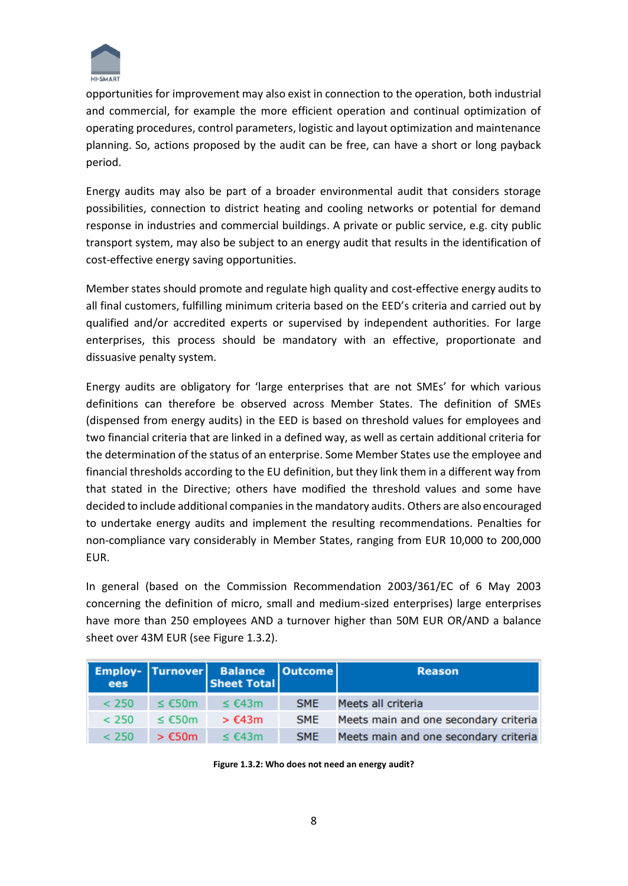

opportunities for improvement may also exist in connection to the operation, both industrial and commercial, for example the more efficient operation and continual optimization of operating procedures, control parameters, logistic and layout optimization and maintenance planning. So, actions proposed by the audit can be free, can have a short or long payback period.

Energy audits may also be part of a broader environmental audit that considers storage possibilities, connection to district heating and cooling networks or potential for demand response in industries and commercial buildings. A private or public service, e.g. city public transport system, may also be subject to an energy audit that results in the identification of cost-effective energy saving opportunities.

Member states should promote and regulate high quality and cost-effective energy audits to all final customers, fulfilling minimum criteria based on the EED's criteria and carried out by qualified and/or accredited experts or supervised by independent authorities. For large enterprises, this process should be mandatory with an effective, proportionate and dissuasive penalty system.

Energy audits are obligatory for 'large enterprises that are not SMEs' for which various definitions can therefore be observed across Member States. The definition of SMEs (dispensed from energy audits) in the EED is based on threshold values for employees and two financial criteria that are linked in a defined way, as well as certain additional criteria for the determination of the status of an enterprise. Some Member States use the employee and financial thresholds according to the EU definition, but they link them in a different way from that stated in the Directive; others have modified the threshold values and some have decided to include additional companies in the mandatory audits. Others are also encouraged to undertake energy audits and implement the resulting recommendations. Penalties for non-compliance vary considerably in Member States, ranging from EUR 10,000 to 200,000 EUR.

In general (based on the Commission Recommendation 2003/361/EC of 6 May 2003 concerning the definition of micro, small and medium-sized enterprises) large enterprises have more than 250 employees AND a turnover higher than 50M EUR OR/AND a balance sheet over 43M EUR (see Figure 1.3.2).

| ees   |             | Employ- Turnover Balance   Outcome  <br><b>Sheet Total</b> |            | <b>Reason</b>                         |
|-------|-------------|------------------------------------------------------------|------------|---------------------------------------|
| < 250 | $\leq$ C50m | $\leq$ C43m                                                | <b>SME</b> | Meets all criteria                    |
| < 250 | $\leq$ C50m | $>$ $C43m$                                                 | <b>SME</b> | Meets main and one secondary criteria |
| < 250 | $>$ $C50m$  | $\leq$ C43m                                                | <b>SME</b> | Meets main and one secondary criteria |

**Figure 1.3.2: Who does not need an energy audit?**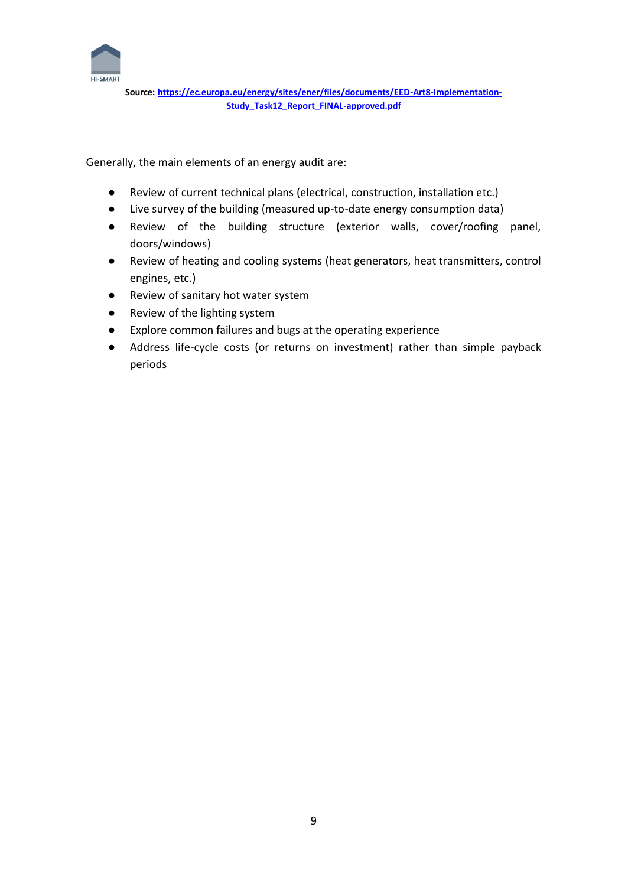

Generally, the main elements of an energy audit are:

- Review of current technical plans (electrical, construction, installation etc.)
- Live survey of the building (measured up-to-date energy consumption data)
- Review of the building structure (exterior walls, cover/roofing panel, doors/windows)
- Review of heating and cooling systems (heat generators, heat transmitters, control engines, etc.)
- Review of sanitary hot water system
- Review of the lighting system
- Explore common failures and bugs at the operating experience
- Address life-cycle costs (or returns on investment) rather than simple payback periods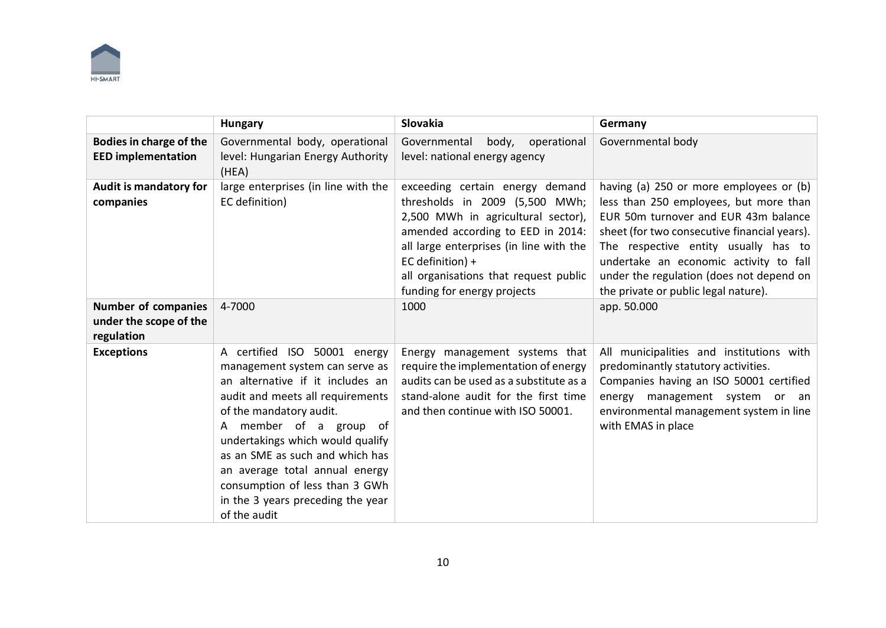

|                                                                    | <b>Hungary</b>                                                                                                                                                                                                                                                                                                                                                                              | Slovakia                                                                                                                                                                                                                                                                            | Germany                                                                                                                                                                                                                                                                                                                                         |
|--------------------------------------------------------------------|---------------------------------------------------------------------------------------------------------------------------------------------------------------------------------------------------------------------------------------------------------------------------------------------------------------------------------------------------------------------------------------------|-------------------------------------------------------------------------------------------------------------------------------------------------------------------------------------------------------------------------------------------------------------------------------------|-------------------------------------------------------------------------------------------------------------------------------------------------------------------------------------------------------------------------------------------------------------------------------------------------------------------------------------------------|
| Bodies in charge of the<br><b>EED implementation</b>               | Governmental body, operational<br>level: Hungarian Energy Authority<br>(HEA)                                                                                                                                                                                                                                                                                                                | Governmental<br>operational<br>body,<br>level: national energy agency                                                                                                                                                                                                               | Governmental body                                                                                                                                                                                                                                                                                                                               |
| Audit is mandatory for<br>companies                                | large enterprises (in line with the<br>EC definition)                                                                                                                                                                                                                                                                                                                                       | exceeding certain energy demand<br>thresholds in 2009 (5,500 MWh;<br>2,500 MWh in agricultural sector),<br>amended according to EED in 2014:<br>all large enterprises (in line with the<br>EC definition) +<br>all organisations that request public<br>funding for energy projects | having (a) 250 or more employees or (b)<br>less than 250 employees, but more than<br>EUR 50m turnover and EUR 43m balance<br>sheet (for two consecutive financial years).<br>The respective entity usually has to<br>undertake an economic activity to fall<br>under the regulation (does not depend on<br>the private or public legal nature). |
| <b>Number of companies</b><br>under the scope of the<br>regulation | 4-7000                                                                                                                                                                                                                                                                                                                                                                                      | 1000                                                                                                                                                                                                                                                                                | app. 50.000                                                                                                                                                                                                                                                                                                                                     |
| <b>Exceptions</b>                                                  | A certified ISO 50001 energy<br>management system can serve as<br>an alternative if it includes an<br>audit and meets all requirements<br>of the mandatory audit.<br>A member of a group of<br>undertakings which would qualify<br>as an SME as such and which has<br>an average total annual energy<br>consumption of less than 3 GWh<br>in the 3 years preceding the year<br>of the audit | Energy management systems that<br>require the implementation of energy<br>audits can be used as a substitute as a<br>stand-alone audit for the first time<br>and then continue with ISO 50001.                                                                                      | All municipalities and institutions with<br>predominantly statutory activities.<br>Companies having an ISO 50001 certified<br>management system<br>or<br>energy<br>an<br>environmental management system in line<br>with EMAS in place                                                                                                          |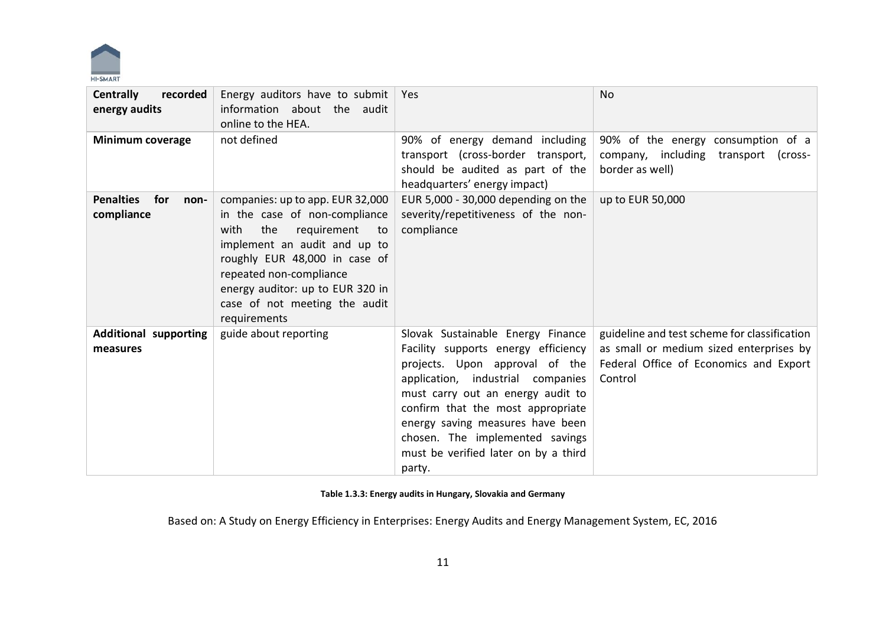

| <b>Centrally</b><br>recorded<br>energy audits | Energy auditors have to submit<br>information about the audit<br>online to the HEA.                                                                                                                                                                                                     | Yes                                                                                                                                                                                                                                                                                                                                                | <b>No</b>                                                                                                                                    |
|-----------------------------------------------|-----------------------------------------------------------------------------------------------------------------------------------------------------------------------------------------------------------------------------------------------------------------------------------------|----------------------------------------------------------------------------------------------------------------------------------------------------------------------------------------------------------------------------------------------------------------------------------------------------------------------------------------------------|----------------------------------------------------------------------------------------------------------------------------------------------|
| Minimum coverage                              | not defined                                                                                                                                                                                                                                                                             | 90% of energy demand including<br>transport (cross-border transport,<br>should be audited as part of the<br>headquarters' energy impact)                                                                                                                                                                                                           | 90% of the energy consumption of a<br>company, including transport (cross-<br>border as well)                                                |
| <b>Penalties</b><br>for<br>non-<br>compliance | companies: up to app. EUR 32,000<br>in the case of non-compliance<br>the<br>with<br>requirement<br>to:<br>implement an audit and up to<br>roughly EUR 48,000 in case of<br>repeated non-compliance<br>energy auditor: up to EUR 320 in<br>case of not meeting the audit<br>requirements | EUR $5,000 - 30,000$ depending on the<br>severity/repetitiveness of the non-<br>compliance                                                                                                                                                                                                                                                         | up to EUR 50,000                                                                                                                             |
| <b>Additional supporting</b><br>measures      | guide about reporting                                                                                                                                                                                                                                                                   | Slovak Sustainable Energy Finance<br>Facility supports energy efficiency<br>projects. Upon approval of the<br>application, industrial companies<br>must carry out an energy audit to<br>confirm that the most appropriate<br>energy saving measures have been<br>chosen. The implemented savings<br>must be verified later on by a third<br>party. | guideline and test scheme for classification<br>as small or medium sized enterprises by<br>Federal Office of Economics and Export<br>Control |

#### **Table 1.3.3: Energy audits in Hungary, Slovakia and Germany**

Based on: A Study on Energy Efficiency in Enterprises: Energy Audits and Energy Management System, EC, 2016